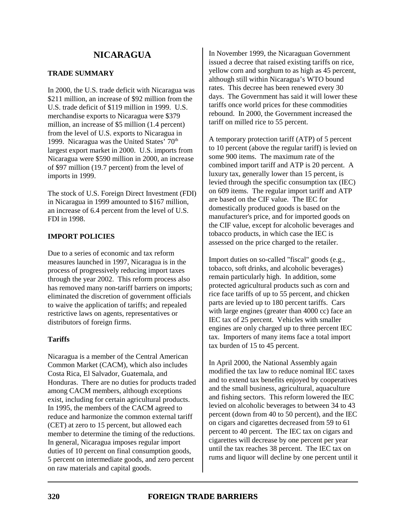# **TRADE SUMMARY**

In 2000, the U.S. trade deficit with Nicaragua was \$211 million, an increase of \$92 million from the U.S. trade deficit of \$119 million in 1999. U.S. merchandise exports to Nicaragua were \$379 million, an increase of \$5 million (1.4 percent) from the level of U.S. exports to Nicaragua in 1999. Nicaragua was the United States'  $70<sup>th</sup>$ largest export market in 2000. U.S. imports from Nicaragua were \$590 million in 2000, an increase of \$97 million (19.7 percent) from the level of imports in 1999.

The stock of U.S. Foreign Direct Investment (FDI) in Nicaragua in 1999 amounted to \$167 million, an increase of 6.4 percent from the level of U.S. FDI in 1998.

# **IMPORT POLICIES**

Due to a series of economic and tax reform measures launched in 1997, Nicaragua is in the process of progressively reducing import taxes through the year 2002. This reform process also has removed many non-tariff barriers on imports; eliminated the discretion of government officials to waive the application of tariffs; and repealed restrictive laws on agents, representatives or distributors of foreign firms.

## **Tariffs**

Nicaragua is a member of the Central American Common Market (CACM), which also includes Costa Rica, El Salvador, Guatemala, and Honduras. There are no duties for products traded among CACM members, although exceptions exist, including for certain agricultural products. In 1995, the members of the CACM agreed to reduce and harmonize the common external tariff (CET) at zero to 15 percent, but allowed each member to determine the timing of the reductions. In general, Nicaragua imposes regular import duties of 10 percent on final consumption goods, 5 percent on intermediate goods, and zero percent on raw materials and capital goods.

In November 1999, the Nicaraguan Government issued a decree that raised existing tariffs on rice, yellow corn and sorghum to as high as 45 percent, although still within Nicaragua's WTO bound rates. This decree has been renewed every 30 days. The Government has said it will lower these tariffs once world prices for these commodities rebound. In 2000, the Government increased the tariff on milled rice to 55 percent.

A temporary protection tariff (ATP) of 5 percent to 10 percent (above the regular tariff) is levied on some 900 items. The maximum rate of the combined import tariff and ATP is 20 percent. A luxury tax, generally lower than 15 percent, is levied through the specific consumption tax (IEC) on 609 items. The regular import tariff and ATP are based on the CIF value. The IEC for domestically produced goods is based on the manufacturer's price, and for imported goods on the CIF value, except for alcoholic beverages and tobacco products, in which case the IEC is assessed on the price charged to the retailer.

Import duties on so-called "fiscal" goods (e.g., tobacco, soft drinks, and alcoholic beverages) remain particularly high. In addition, some protected agricultural products such as corn and rice face tariffs of up to 55 percent, and chicken parts are levied up to 180 percent tariffs. Cars with large engines (greater than 4000 cc) face an IEC tax of 25 percent. Vehicles with smaller engines are only charged up to three percent IEC tax. Importers of many items face a total import tax burden of 15 to 45 percent.

In April 2000, the National Assembly again modified the tax law to reduce nominal IEC taxes and to extend tax benefits enjoyed by cooperatives and the small business, agricultural, aquaculture and fishing sectors. This reform lowered the IEC levied on alcoholic beverages to between 34 to 43 percent (down from 40 to 50 percent), and the IEC on cigars and cigarettes decreased from 59 to 61 percent to 40 percent. The IEC tax on cigars and cigarettes will decrease by one percent per year until the tax reaches 38 percent. The IEC tax on rums and liquor will decline by one percent until it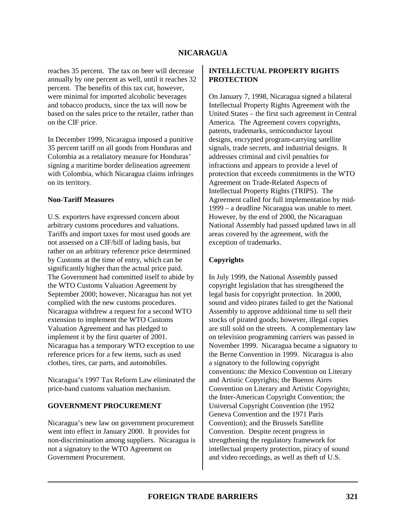reaches 35 percent. The tax on beer will decrease annually by one percent as well, until it reaches 32 percent. The benefits of this tax cut, however, were minimal for imported alcoholic beverages and tobacco products, since the tax will now be based on the sales price to the retailer, rather than on the CIF price.

In December 1999, Nicaragua imposed a punitive 35 percent tariff on all goods from Honduras and Colombia as a retaliatory measure for Honduras' signing a maritime border delineation agreement with Colombia, which Nicaragua claims infringes on its territory.

#### **Non-Tariff Measures**

U.S. exporters have expressed concern about arbitrary customs procedures and valuations. Tariffs and import taxes for most used goods are not assessed on a CIF/bill of lading basis, but rather on an arbitrary reference price determined by Customs at the time of entry, which can be significantly higher than the actual price paid. The Government had committed itself to abide by the WTO Customs Valuation Agreement by September 2000; however, Nicaragua has not yet complied with the new customs procedures. Nicaragua withdrew a request for a second WTO extension to implement the WTO Customs Valuation Agreement and has pledged to implement it by the first quarter of 2001. Nicaragua has a temporary WTO exception to use reference prices for a few items, such as used clothes, tires, car parts, and automobiles.

Nicaragua's 1997 Tax Reform Law eliminated the price-band customs valuation mechanism.

## **GOVERNMENT PROCUREMENT**

Nicaragua's new law on government procurement went into effect in January 2000. It provides for non-discrimination among suppliers. Nicaragua is not a signatory to the WTO Agreement on Government Procurement.

#### **INTELLECTUAL PROPERTY RIGHTS PROTECTION**

On January 7, 1998, Nicaragua signed a bilateral Intellectual Property Rights Agreement with the United States – the first such agreement in Central America. The Agreement covers copyrights, patents, trademarks, semiconductor layout designs, encrypted program-carrying satellite signals, trade secrets, and industrial designs. It addresses criminal and civil penalties for infractions and appears to provide a level of protection that exceeds commitments in the WTO Agreement on Trade-Related Aspects of Intellectual Property Rights (TRIPS). The Agreement called for full implementation by mid-1999 – a deadline Nicaragua was unable to meet. However, by the end of 2000, the Nicaraguan National Assembly had passed updated laws in all areas covered by the agreement, with the exception of trademarks.

## **Copyrights**

In July 1999, the National Assembly passed copyright legislation that has strengthened the legal basis for copyright protection. In 2000, sound and video pirates failed to get the National Assembly to approve additional time to sell their stocks of pirated goods; however, illegal copies are still sold on the streets. A complementary law on television programming carriers was passed in November 1999. Nicaragua became a signatory to the Berne Convention in 1999. Nicaragua is also a signatory to the following copyright conventions: the Mexico Convention on Literary and Artistic Copyrights; the Buenos Aires Convention on Literary and Artistic Copyrights; the Inter-American Copyright Convention; the Universal Copyright Convention (the 1952 Geneva Convention and the 1971 Paris Convention); and the Brussels Satellite Convention. Despite recent progress in strengthening the regulatory framework for intellectual property protection, piracy of sound and video recordings, as well as theft of U.S.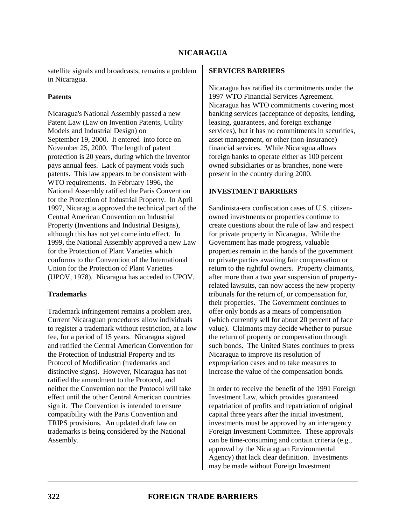satellite signals and broadcasts, remains a problem in Nicaragua.

#### **Patents**

Nicaragua's National Assembly passed a new Patent Law (Law on Invention Patents, Utility Models and Industrial Design) on September 19, 2000. It entered into force on November 25, 2000. The length of patent protection is 20 years, during which the inventor pays annual fees. Lack of payment voids such patents. This law appears to be consistent with WTO requirements. In February 1996, the National Assembly ratified the Paris Convention for the Protection of Industrial Property. In April 1997, Nicaragua approved the technical part of the Central American Convention on Industrial Property (Inventions and Industrial Designs), although this has not yet come into effect. In 1999, the National Assembly approved a new Law for the Protection of Plant Varieties which conforms to the Convention of the International Union for the Protection of Plant Varieties (UPOV, 1978). Nicaragua has acceded to UPOV.

#### **Trademarks**

Trademark infringement remains a problem area. Current Nicaraguan procedures allow individuals to register a trademark without restriction, at a low fee, for a period of 15 years. Nicaragua signed and ratified the Central American Convention for the Protection of Industrial Property and its Protocol of Modification (trademarks and distinctive signs). However, Nicaragua has not ratified the amendment to the Protocol, and neither the Convention nor the Protocol will take effect until the other Central American countries sign it. The Convention is intended to ensure compatibility with the Paris Convention and TRIPS provisions. An updated draft law on trademarks is being considered by the National Assembly.

#### **SERVICES BARRIERS**

Nicaragua has ratified its commitments under the 1997 WTO Financial Services Agreement. Nicaragua has WTO commitments covering most banking services (acceptance of deposits, lending, leasing, guarantees, and foreign exchange services), but it has no commitments in securities, asset management, or other (non-insurance) financial services. While Nicaragua allows foreign banks to operate either as 100 percent owned subsidiaries or as branches, none were present in the country during 2000.

#### **INVESTMENT BARRIERS**

Sandinista-era confiscation cases of U.S. citizenowned investments or properties continue to create questions about the rule of law and respect for private property in Nicaragua. While the Government has made progress, valuable properties remain in the hands of the government or private parties awaiting fair compensation or return to the rightful owners. Property claimants, after more than a two year suspension of propertyrelated lawsuits, can now access the new property tribunals for the return of, or compensation for, their properties. The Government continues to offer only bonds as a means of compensation (which currently sell for about 20 percent of face value). Claimants may decide whether to pursue the return of property or compensation through such bonds. The United States continues to press Nicaragua to improve its resolution of expropriation cases and to take measures to increase the value of the compensation bonds.

In order to receive the benefit of the 1991 Foreign Investment Law, which provides guaranteed repatriation of profits and repatriation of original capital three years after the initial investment, investments must be approved by an interagency Foreign Investment Committee. These approvals can be time-consuming and contain criteria (e.g., approval by the Nicaraguan Environmental Agency) that lack clear definition. Investments may be made without Foreign Investment